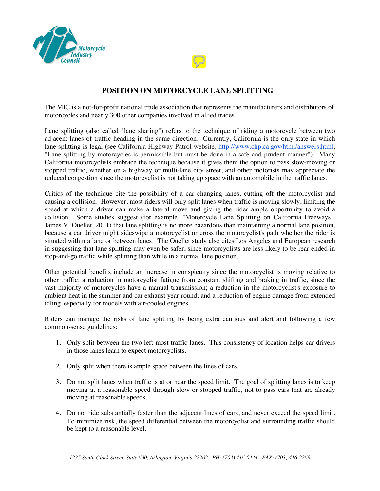

## **POSITION ON MOTORCYCLE LANE SPLITTING**

The MIC is a not-for-profit national trade association that represents the manufacturers and distributors of motorcycles and nearly 300 other companies involved in allied trades.

Lane splitting (also called "lane sharing") refers to the technique of riding a motorcycle between two adjacent lanes of traffic heading in the same direction. Currently, California is the only state in which lane splitting is legal (see California Highway Patrol website, [http://www.chp.ca.gov/html/answers.html,](http://www.chp.ca.gov/html/answers.html)  "Lane splitting by motorcycles is permissible but must be done in a safe and prudent manner"). Many California motorcyclists embrace the technique because it gives them the option to pass slow-moving or stopped traffic, whether on a highway or multi-lane city street, and other motorists may appreciate the reduced congestion since the motorcyclist is not taking up space with an automobile in the traffic lanes.

Critics of the technique cite the possibility of a car changing lanes, cutting off the motorcyclist and causing a collision. However, most riders will only split lanes when traffic is moving slowly, limiting the speed at which a driver can make a lateral move and giving the rider ample opportunity to avoid a collision. Some studies suggest (for example, "Motorcycle Lane Splitting on California Freeways," James V. Ouellet, 2011) that lane splitting is no more hazardous than maintaining a normal lane position, because a car driver might sideswipe a motorcyclist or cross the motorcyclist's path whether the rider is situated within a lane or between lanes. The Ouellet study also cites Los Angeles and European research in suggesting that lane splitting may even be safer, since motorcyclists are less likely to be rear-ended in stop-and-go traffic while splitting than while in a normal lane position.

Other potential benefits include an increase in conspicuity since the motorcyclist is moving relative to other traffic; a reduction in motorcyclist fatigue from constant shifting and braking in traffic, since the vast majority of motorcycles have a manual transmission; a reduction in the motorcyclist's exposure to ambient heat in the summer and car exhaust year-round; and a reduction of engine damage from extended idling, especially for models with air-cooled engines.

Riders can manage the risks of lane splitting by being extra cautious and alert and following a few common-sense guidelines:

- 1. Only split between the two left-most traffic lanes. This consistency of location helps car drivers in those lanes learn to expect motorcyclists.
- 2. Only split when there is ample space between the lines of cars.
- 3. Do not split lanes when traffic is at or near the speed limit. The goal of splitting lanes is to keep moving at a reasonable speed through slow or stopped traffic, not to pass cars that are already moving at reasonable speeds.
- 4. Do not ride substantially faster than the adjacent lines of cars, and never exceed the speed limit. To minimize risk, the speed differential between the motorcyclist and surrounding traffic should be kept to a reasonable level.